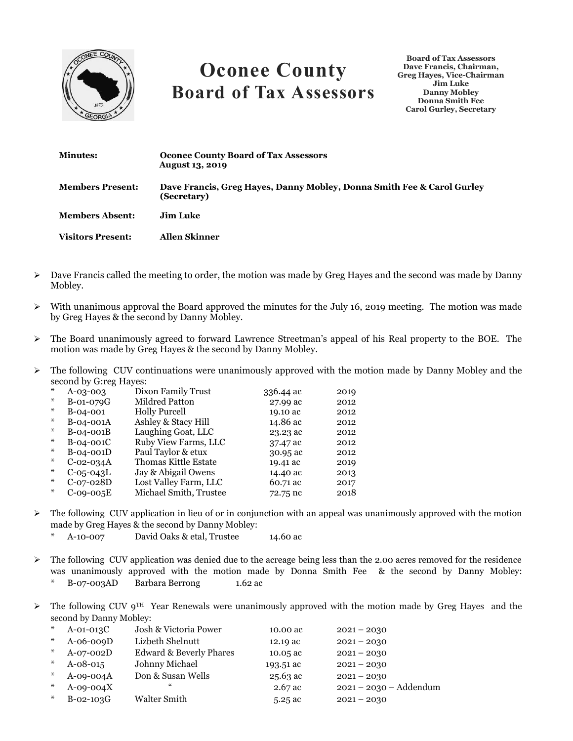

## **Oconee County Board of Tax Assessors**

**Board of Tax Assessors Dave Francis, Chairman, Greg Hayes, Vice-Chairman Jim Luke Danny Mobley Donna Smith Fee Carol Gurley, Secretary**

| <b>Minutes:</b>          | <b>Oconee County Board of Tax Assessors</b><br><b>August 13, 2019</b>                 |
|--------------------------|---------------------------------------------------------------------------------------|
| <b>Members Present:</b>  | Dave Francis, Greg Haves, Danny Mobley, Donna Smith Fee & Carol Gurley<br>(Secretary) |
| <b>Members Absent:</b>   | Jim Luke.                                                                             |
| <b>Visitors Present:</b> | <b>Allen Skinner</b>                                                                  |

- ➢ Dave Francis called the meeting to order, the motion was made by Greg Hayes and the second was made by Danny Mobley.
- $\triangleright$  With unanimous approval the Board approved the minutes for the July 16, 2019 meeting. The motion was made by Greg Hayes & the second by Danny Mobley.
- ➢ The Board unanimously agreed to forward Lawrence Streetman's appeal of his Real property to the BOE. The motion was made by Greg Hayes & the second by Danny Mobley.
- ➢ The following CUV continuations were unanimously approved with the motion made by Danny Mobley and the second by G:reg Hayes:

| ⋇  | $A - 0.3 - 0.03$ | Dixon Family Trust     | 336.44 ac | 2019 |
|----|------------------|------------------------|-----------|------|
| *  | B-01-079G        | Mildred Patton         | 27.99 ac  | 2012 |
| *  | B-04-001         | <b>Holly Purcell</b>   | 19.10 ac  | 2012 |
| *  | B-04-001A        | Ashley & Stacy Hill    | 14.86 ac  | 2012 |
| *  | B-04-001B        | Laughing Goat, LLC     | 23.23 ac  | 2012 |
| *  | B-04-001C        | Ruby View Farms, LLC   | 37.47 ac  | 2012 |
| *  | B-04-001D        | Paul Taylor & etux     | 30.95 ac  | 2012 |
| *  | $C-02-034A$      | Thomas Kittle Estate   | 19.41 ac  | 2019 |
| *  | $C-05-043L$      | Jay & Abigail Owens    | 14.40 ac  | 2013 |
| *  | $C-07-028D$      | Lost Valley Farm, LLC  | 60.71 ac  | 2017 |
| *. | $C-09-005E$      | Michael Smith, Trustee | 72.75 nc  | 2018 |

- $\triangleright$  The following CUV application in lieu of or in conjunction with an appeal was unanimously approved with the motion made by Greg Hayes & the second by Danny Mobley:
	- \* A-10-007 David Oaks & etal, Trustee 14.60 ac
- $\triangleright$  The following CUV application was denied due to the acreage being less than the 2.00 acres removed for the residence was unanimously approved with the motion made by Donna Smith Fee & the second by Danny Mobley: B-07-003AD Barbara Berrong 1.62 ac
- $\triangleright$  The following CUV 9<sup>TH</sup> Year Renewals were unanimously approved with the motion made by Greg Hayes and the second by Danny Mobley:

| $\ast$ | $A$ -01-013 $C$ | Josh & Victoria Power              | 10.00 ac  | $2021 - 2030$            |
|--------|-----------------|------------------------------------|-----------|--------------------------|
| $*$    | $A-06-009D$     | Lizbeth Shelnutt                   | 12.19 ac  | $2021 - 2030$            |
| $*$    | $A-07-002D$     | <b>Edward &amp; Beverly Phares</b> | 10.05 ac  | $2021 - 2030$            |
| $*$    | $A - 08 - 015$  | Johnny Michael                     | 193.51 ac | $2021 - 2030$            |
| $\ast$ | $A-09-004A$     | Don & Susan Wells                  | 25.63 ac  | $2021 - 2030$            |
| $*$    | $A-09-004X$     | "                                  | $2.67$ ac | $2021 - 2030 - Addendum$ |
| $*$    | $B-02-103G$     | Walter Smith                       | $5.25$ ac | $2021 - 2030$            |
|        |                 |                                    |           |                          |